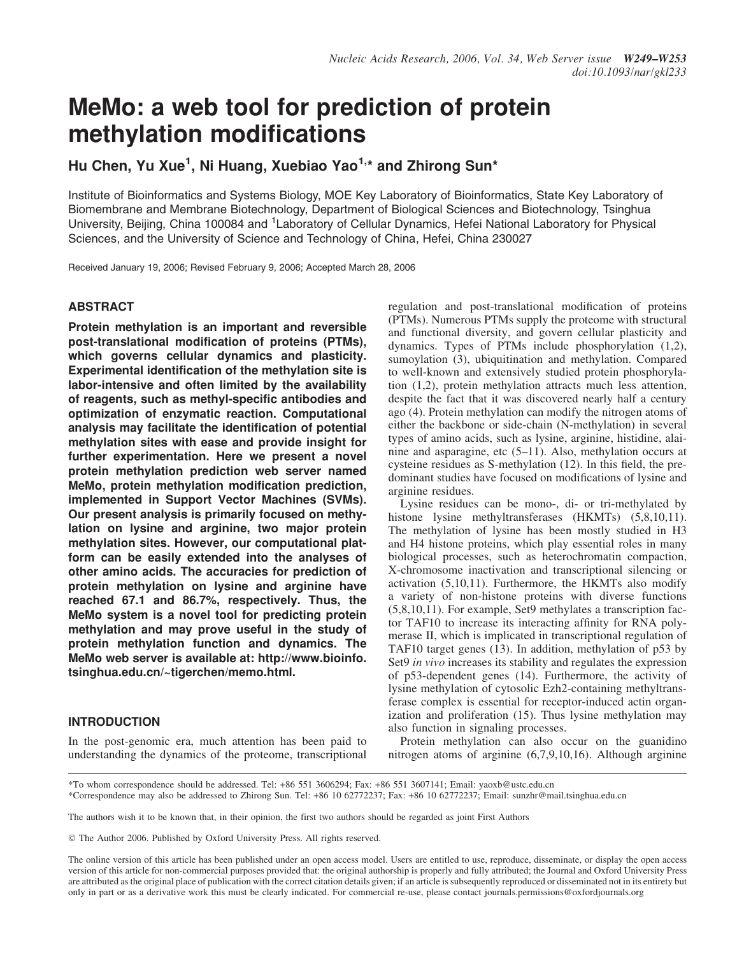# MeMo: a web tool for prediction of protein methylation modifications

Hu Chen, Yu Xue<sup>1</sup>, Ni Huang, Xuebiao Yao<sup>1,</sup>\* and Zhirong Sun\*

Institute of Bioinformatics and Systems Biology, MOE Key Laboratory of Bioinformatics, State Key Laboratory of Biomembrane and Membrane Biotechnology, Department of Biological Sciences and Biotechnology, Tsinghua University, Beijing, China 100084 and <sup>1</sup>Laboratory of Cellular Dynamics, Hefei National Laboratory for Physical Sciences, and the University of Science and Technology of China, Hefei, China 230027

Received January 19, 2006; Revised February 9, 2006; Accepted March 28, 2006

### **ABSTRACT**

Protein methylation is an important and reversible post-translational modification of proteins (PTMs), which governs cellular dynamics and plasticity. Experimental identification of the methylation site is labor-intensive and often limited by the availability of reagents, such as methyl-specific antibodies and optimization of enzymatic reaction. Computational analysis may facilitate the identification of potential methylation sites with ease and provide insight for further experimentation. Here we present a novel protein methylation prediction web server named MeMo, protein methylation modification prediction, implemented in Support Vector Machines (SVMs). Our present analysis is primarily focused on methylation on lysine and arginine, two major protein methylation sites. However, our computational platform can be easily extended into the analyses of other amino acids. The accuracies for prediction of protein methylation on lysine and arginine have reached 67.1 and 86.7%, respectively. Thus, the MeMo system is a novel tool for predicting protein methylation and may prove useful in the study of protein methylation function and dynamics. The MeMo web server is available at: http://www.bioinfo. tsinghua.edu.cn/~tigerchen/memo.html.

#### INTRODUCTION

In the post-genomic era, much attention has been paid to understanding the dynamics of the proteome, transcriptional

regulation and post-translational modification of proteins (PTMs). Numerous PTMs supply the proteome with structural and functional diversity, and govern cellular plasticity and dynamics. Types of PTMs include phosphorylation (1,2), sumoylation (3), ubiquitination and methylation. Compared to well-known and extensively studied protein phosphorylation (1,2), protein methylation attracts much less attention, despite the fact that it was discovered nearly half a century ago (4). Protein methylation can modify the nitrogen atoms of either the backbone or side-chain (N-methylation) in several types of amino acids, such as lysine, arginine, histidine, alainine and asparagine, etc (5–11). Also, methylation occurs at cysteine residues as S-methylation (12). In this field, the predominant studies have focused on modifications of lysine and arginine residues.

Lysine residues can be mono-, di- or tri-methylated by histone lysine methyltransferases (HKMTs) (5,8,10,11). The methylation of lysine has been mostly studied in H3 and H4 histone proteins, which play essential roles in many biological processes, such as heterochromatin compaction, X-chromosome inactivation and transcriptional silencing or activation (5,10,11). Furthermore, the HKMTs also modify a variety of non-histone proteins with diverse functions (5,8,10,11). For example, Set9 methylates a transcription factor TAF10 to increase its interacting affinity for RNA polymerase II, which is implicated in transcriptional regulation of TAF10 target genes (13). In addition, methylation of p53 by Set9 in vivo increases its stability and regulates the expression of p53-dependent genes (14). Furthermore, the activity of lysine methylation of cytosolic Ezh2-containing methyltransferase complex is essential for receptor-induced actin organization and proliferation (15). Thus lysine methylation may also function in signaling processes.

Protein methylation can also occur on the guanidino nitrogen atoms of arginine (6,7,9,10,16). Although arginine

The authors wish it to be known that, in their opinion, the first two authors should be regarded as joint First Authors

- The Author 2006. Published by Oxford University Press. All rights reserved.

<sup>\*</sup>To whom correspondence should be addressed. Tel: +86 551 3606294; Fax: +86 551 3607141; Email: yaoxb@ustc.edu.cn

<sup>\*</sup>Correspondence may also be addressed to Zhirong Sun. Tel: +86 10 62772237; Fax: +86 10 62772237; Email: sunzhr@mail.tsinghua.edu.cn

The online version of this article has been published under an open access model. Users are entitled to use, reproduce, disseminate, or display the open access version of this article for non-commercial purposes provided that: the original authorship is properly and fully attributed; the Journal and Oxford University Press are attributed as the original place of publication with the correct citation details given; if an article is subsequently reproduced or disseminated not in its entirety but only in part or as a derivative work this must be clearly indicated. For commercial re-use, please contact journals.permissions@oxfordjournals.org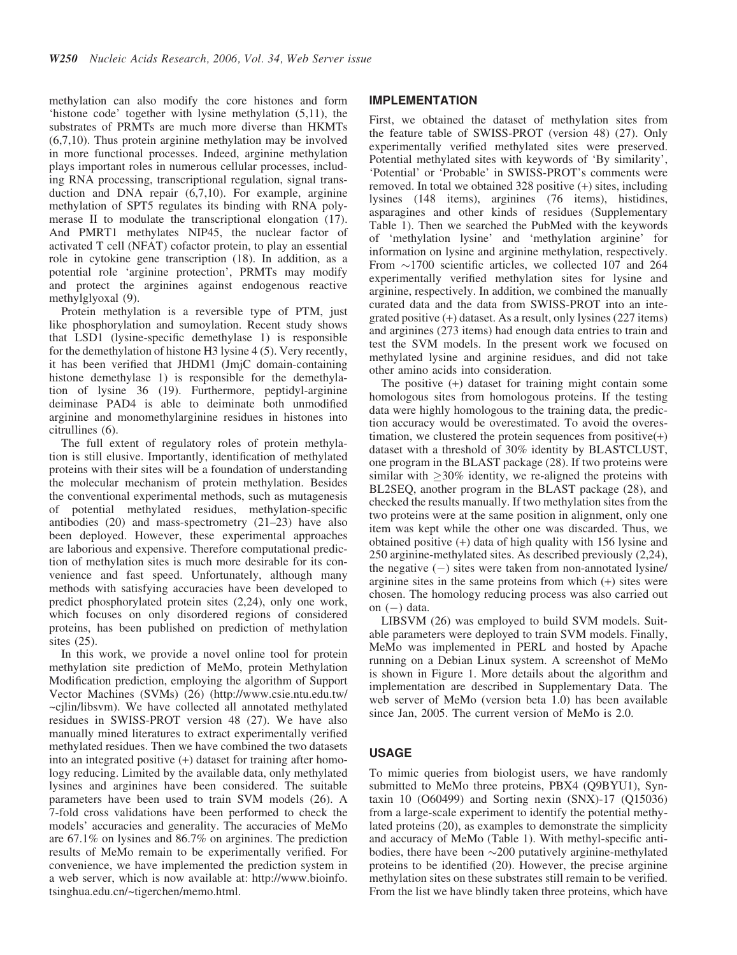methylation can also modify the core histones and form 'histone code' together with lysine methylation (5,11), the substrates of PRMTs are much more diverse than HKMTs (6,7,10). Thus protein arginine methylation may be involved in more functional processes. Indeed, arginine methylation plays important roles in numerous cellular processes, including RNA processing, transcriptional regulation, signal transduction and DNA repair (6,7,10). For example, arginine methylation of SPT5 regulates its binding with RNA polymerase II to modulate the transcriptional elongation (17). And PMRT1 methylates NIP45, the nuclear factor of activated T cell (NFAT) cofactor protein, to play an essential role in cytokine gene transcription (18). In addition, as a potential role 'arginine protection', PRMTs may modify and protect the arginines against endogenous reactive methylglyoxal (9).

Protein methylation is a reversible type of PTM, just like phosphorylation and sumoylation. Recent study shows that LSD1 (lysine-specific demethylase 1) is responsible for the demethylation of histone H3 lysine 4 (5). Very recently, it has been verified that JHDM1 (JmjC domain-containing histone demethylase 1) is responsible for the demethylation of lysine 36 (19). Furthermore, peptidyl-arginine deiminase PAD4 is able to deiminate both unmodified arginine and monomethylarginine residues in histones into citrullines (6).

The full extent of regulatory roles of protein methylation is still elusive. Importantly, identification of methylated proteins with their sites will be a foundation of understanding the molecular mechanism of protein methylation. Besides the conventional experimental methods, such as mutagenesis of potential methylated residues, methylation-specific antibodies (20) and mass-spectrometry (21–23) have also been deployed. However, these experimental approaches are laborious and expensive. Therefore computational prediction of methylation sites is much more desirable for its convenience and fast speed. Unfortunately, although many methods with satisfying accuracies have been developed to predict phosphorylated protein sites (2,24), only one work, which focuses on only disordered regions of considered proteins, has been published on prediction of methylation sites (25).

In this work, we provide a novel online tool for protein methylation site prediction of MeMo, protein Methylation Modification prediction, employing the algorithm of Support Vector Machines (SVMs) (26) (http://www.csie.ntu.edu.tw/ ~cjlin/libsvm). We have collected all annotated methylated residues in SWISS-PROT version 48 (27). We have also manually mined literatures to extract experimentally verified methylated residues. Then we have combined the two datasets into an integrated positive (+) dataset for training after homology reducing. Limited by the available data, only methylated lysines and arginines have been considered. The suitable parameters have been used to train SVM models (26). A 7-fold cross validations have been performed to check the models' accuracies and generality. The accuracies of MeMo are 67.1% on lysines and 86.7% on arginines. The prediction results of MeMo remain to be experimentally verified. For convenience, we have implemented the prediction system in a web server, which is now available at: http://www.bioinfo. tsinghua.edu.cn/~tigerchen/memo.html.

#### IMPLEMENTATION

First, we obtained the dataset of methylation sites from the feature table of SWISS-PROT (version 48) (27). Only experimentally verified methylated sites were preserved. Potential methylated sites with keywords of 'By similarity', 'Potential' or 'Probable' in SWISS-PROT's comments were removed. In total we obtained 328 positive (+) sites, including lysines (148 items), arginines (76 items), histidines, asparagines and other kinds of residues (Supplementary Table 1). Then we searched the PubMed with the keywords of 'methylation lysine' and 'methylation arginine' for information on lysine and arginine methylation, respectively. From  $\sim$ 1700 scientific articles, we collected 107 and 264 experimentally verified methylation sites for lysine and arginine, respectively. In addition, we combined the manually curated data and the data from SWISS-PROT into an integrated positive (+) dataset. As a result, only lysines (227 items) and arginines (273 items) had enough data entries to train and test the SVM models. In the present work we focused on methylated lysine and arginine residues, and did not take other amino acids into consideration.

The positive (+) dataset for training might contain some homologous sites from homologous proteins. If the testing data were highly homologous to the training data, the prediction accuracy would be overestimated. To avoid the overestimation, we clustered the protein sequences from positive $(+)$ dataset with a threshold of 30% identity by BLASTCLUST, one program in the BLAST package (28). If two proteins were similar with  $\geq$ 30% identity, we re-aligned the proteins with BL2SEQ, another program in the BLAST package (28), and checked the results manually. If two methylation sites from the two proteins were at the same position in alignment, only one item was kept while the other one was discarded. Thus, we obtained positive (+) data of high quality with 156 lysine and 250 arginine-methylated sites. As described previously (2,24), the negative  $(-)$  sites were taken from non-annotated lysine/ arginine sites in the same proteins from which (+) sites were chosen. The homology reducing process was also carried out on  $(-)$  data.

LIBSVM (26) was employed to build SVM models. Suitable parameters were deployed to train SVM models. Finally, MeMo was implemented in PERL and hosted by Apache running on a Debian Linux system. A screenshot of MeMo is shown in Figure 1. More details about the algorithm and implementation are described in Supplementary Data. The web server of MeMo (version beta 1.0) has been available since Jan, 2005. The current version of MeMo is 2.0.

#### USAGE

To mimic queries from biologist users, we have randomly submitted to MeMo three proteins, PBX4 (Q9BYU1), Syntaxin 10 (O60499) and Sorting nexin (SNX)-17 (Q15036) from a large-scale experiment to identify the potential methylated proteins (20), as examples to demonstrate the simplicity and accuracy of MeMo (Table 1). With methyl-specific antibodies, there have been  $\sim$ 200 putatively arginine-methylated proteins to be identified (20). However, the precise arginine methylation sites on these substrates still remain to be verified. From the list we have blindly taken three proteins, which have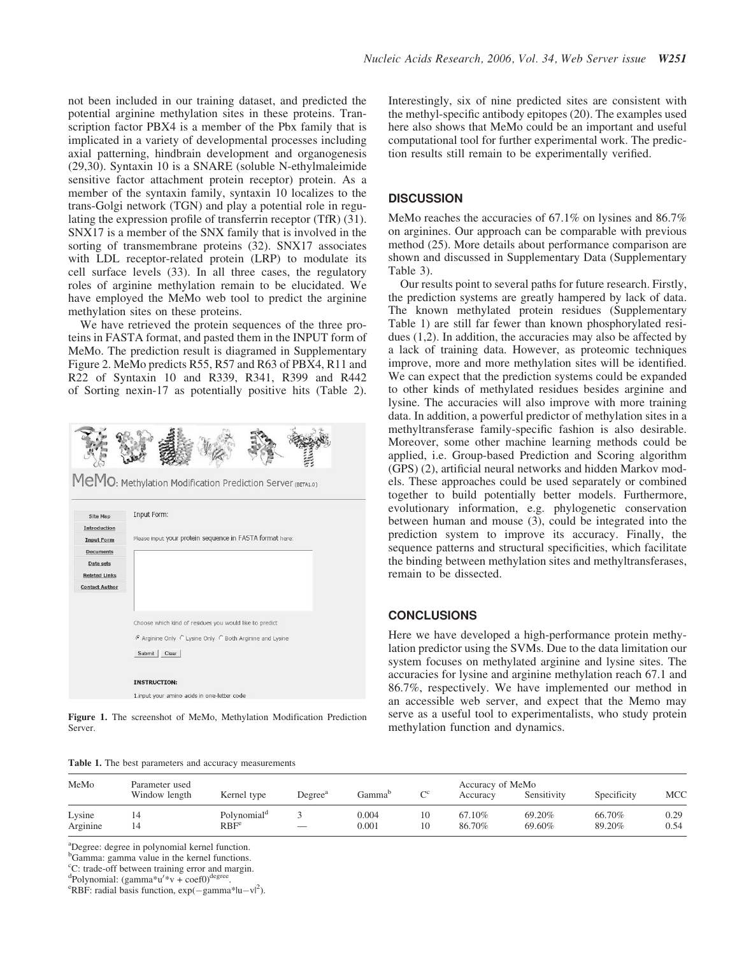not been included in our training dataset, and predicted the potential arginine methylation sites in these proteins. Transcription factor PBX4 is a member of the Pbx family that is implicated in a variety of developmental processes including axial patterning, hindbrain development and organogenesis (29,30). Syntaxin 10 is a SNARE (soluble N-ethylmaleimide sensitive factor attachment protein receptor) protein. As a member of the syntaxin family, syntaxin 10 localizes to the trans-Golgi network (TGN) and play a potential role in regulating the expression profile of transferrin receptor (TfR) (31). SNX17 is a member of the SNX family that is involved in the sorting of transmembrane proteins (32). SNX17 associates with LDL receptor-related protein (LRP) to modulate its cell surface levels (33). In all three cases, the regulatory roles of arginine methylation remain to be elucidated. We have employed the MeMo web tool to predict the arginine methylation sites on these proteins.

We have retrieved the protein sequences of the three proteins in FASTA format, and pasted them in the INPUT form of MeMo. The prediction result is diagramed in Supplementary Figure 2. MeMo predicts R55, R57 and R63 of PBX4, R11 and R22 of Syntaxin 10 and R339, R341, R399 and R442 of Sorting nexin-17 as potentially positive hits (Table 2).





Figure 1. The screenshot of MeMo, Methylation Modification Prediction Server.

Interestingly, six of nine predicted sites are consistent with the methyl-specific antibody epitopes (20). The examples used here also shows that MeMo could be an important and useful computational tool for further experimental work. The prediction results still remain to be experimentally verified.

### **DISCUSSION**

MeMo reaches the accuracies of 67.1% on lysines and 86.7% on arginines. Our approach can be comparable with previous method (25). More details about performance comparison are shown and discussed in Supplementary Data (Supplementary Table 3).

Our results point to several paths for future research. Firstly, the prediction systems are greatly hampered by lack of data. The known methylated protein residues (Supplementary Table 1) are still far fewer than known phosphorylated residues (1,2). In addition, the accuracies may also be affected by a lack of training data. However, as proteomic techniques improve, more and more methylation sites will be identified. We can expect that the prediction systems could be expanded to other kinds of methylated residues besides arginine and lysine. The accuracies will also improve with more training data. In addition, a powerful predictor of methylation sites in a methyltransferase family-specific fashion is also desirable. Moreover, some other machine learning methods could be applied, i.e. Group-based Prediction and Scoring algorithm (GPS) (2), artificial neural networks and hidden Markov models. These approaches could be used separately or combined together to build potentially better models. Furthermore, evolutionary information, e.g. phylogenetic conservation between human and mouse (3), could be integrated into the prediction system to improve its accuracy. Finally, the sequence patterns and structural specificities, which facilitate the binding between methylation sites and methyltransferases, remain to be dissected.

### **CONCLUSIONS**

Here we have developed a high-performance protein methylation predictor using the SVMs. Due to the data limitation our system focuses on methylated arginine and lysine sites. The accuracies for lysine and arginine methylation reach 67.1 and 86.7%, respectively. We have implemented our method in an accessible web server, and expect that the Memo may serve as a useful tool to experimentalists, who study protein methylation function and dynamics.

| MeMo               | Parameter used<br>Window length | Kernel type                                 | Degree <sup>a</sup> | Gamma'         | $\mathcal{C}^c$ | Accuracy of MeMo<br>Accuracy | Sensitivity      | Specificity      | MCC          |
|--------------------|---------------------------------|---------------------------------------------|---------------------|----------------|-----------------|------------------------------|------------------|------------------|--------------|
| Lysine<br>Arginine | 14                              | Polynomial <sup>a</sup><br>RBF <sup>e</sup> |                     | 0.004<br>0.001 | 10<br>10        | 67.10%<br>86.70%             | 69.20%<br>69.60% | 66.70%<br>89.20% | 0.29<br>0.54 |

<sup>a</sup>Degree: degree in polynomial kernel function.

b Gamma: gamma value in the kernel functions.

<sup>c</sup>C: trade-off between training error and margin.

dpolynomial:  $\text{(gamma)}^*v + \text{coef}(\text{degree})^{\text{degree}}$ 

RBF: radial basis function,  $exp(-\text{gamma}^*|u-v|^2)$ .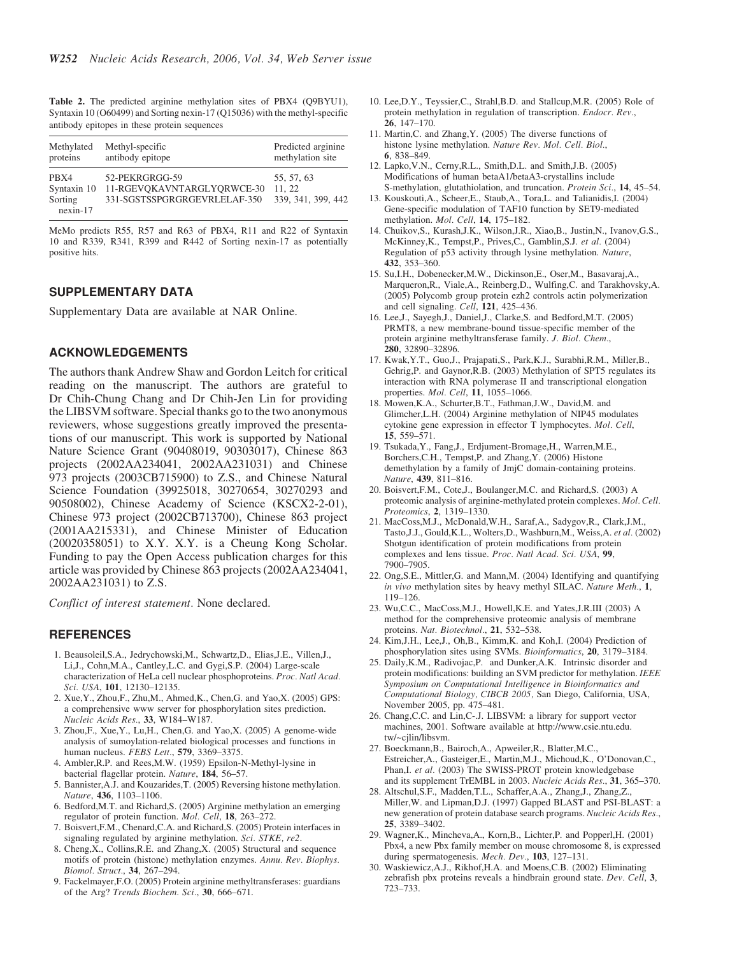Table 2. The predicted arginine methylation sites of PBX4 (Q9BYU1), Syntaxin 10 (O60499) and Sorting nexin-17 (Q15036) with the methyl-specific antibody epitopes in these protein sequences

| Methylated                                   | Methyl-specific                                                              | Predicted arginine                        |
|----------------------------------------------|------------------------------------------------------------------------------|-------------------------------------------|
| proteins                                     | antibody epitope                                                             | methylation site                          |
| PBX4<br>Syntaxin 10<br>Sorting<br>$nexin-17$ | 52-PEKRGRGG-59<br>11-RGEVOKAVNTARGLYORWCE-30<br>331-SGSTSSPGRGRGEVRLELAF-350 | 55, 57, 63<br>11.22<br>339, 341, 399, 442 |

MeMo predicts R55, R57 and R63 of PBX4, R11 and R22 of Syntaxin 10 and R339, R341, R399 and R442 of Sorting nexin-17 as potentially positive hits.

## SUPPLEMENTARY DATA

Supplementary Data are available at NAR Online.

### ACKNOWLEDGEMENTS

The authors thank Andrew Shaw and Gordon Leitch for critical reading on the manuscript. The authors are grateful to Dr Chih-Chung Chang and Dr Chih-Jen Lin for providing the LIBSVM software. Special thanks go to the two anonymous reviewers, whose suggestions greatly improved the presentations of our manuscript. This work is supported by National Nature Science Grant (90408019, 90303017), Chinese 863 projects (2002AA234041, 2002AA231031) and Chinese 973 projects (2003CB715900) to Z.S., and Chinese Natural Science Foundation (39925018, 30270654, 30270293 and 90508002), Chinese Academy of Science (KSCX2-2-01), Chinese 973 project (2002CB713700), Chinese 863 project (2001AA215331), and Chinese Minister of Education (20020358051) to X.Y. X.Y. is a Cheung Kong Scholar. Funding to pay the Open Access publication charges for this article was provided by Chinese 863 projects (2002AA234041, 2002AA231031) to Z.S.

Conflict of interest statement. None declared.

#### REFERENCES

- 1. Beausoleil,S.A., Jedrychowski,M., Schwartz,D., Elias,J.E., Villen,J., Li,J., Cohn,M.A., Cantley,L.C. and Gygi,S.P. (2004) Large-scale characterization of HeLa cell nuclear phosphoproteins. Proc. Natl Acad. Sci. USA, 101, 12130–12135.
- 2. Xue,Y., Zhou,F., Zhu,M., Ahmed,K., Chen,G. and Yao,X. (2005) GPS: a comprehensive www server for phosphorylation sites prediction. Nucleic Acids Res., 33, W184–W187.
- 3. Zhou,F., Xue,Y., Lu,H., Chen,G. and Yao,X. (2005) A genome-wide analysis of sumoylation-related biological processes and functions in human nucleus. FEBS Lett., 579, 3369-3375.
- 4. Ambler,R.P. and Rees,M.W. (1959) Epsilon-N-Methyl-lysine in bacterial flagellar protein. Nature, 184, 56-57.
- 5. Bannister,A.J. and Kouzarides,T. (2005) Reversing histone methylation. Nature, 436, 1103–1106.
- 6. Bedford,M.T. and Richard,S. (2005) Arginine methylation an emerging regulator of protein function. Mol. Cell, 18, 263–272.
- 7. Boisvert,F.M., Chenard,C.A. and Richard,S. (2005) Protein interfaces in signaling regulated by arginine methylation. Sci. STKE, re2.
- 8. Cheng,X., Collins,R.E. and Zhang,X. (2005) Structural and sequence motifs of protein (histone) methylation enzymes. Annu. Rev. Biophys. Biomol. Struct., 34, 267–294.
- 9. Fackelmayer,F.O. (2005) Protein arginine methyltransferases: guardians of the Arg? Trends Biochem. Sci., 30, 666–671.
- 10. Lee,D.Y., Teyssier,C., Strahl,B.D. and Stallcup,M.R. (2005) Role of protein methylation in regulation of transcription. Endocr. Rev., 26, 147–170.
- 11. Martin,C. and Zhang,Y. (2005) The diverse functions of histone lysine methylation. Nature Rev. Mol. Cell. Biol., 6, 838–849.
- 12. Lapko,V.N., Cerny,R.L., Smith,D.L. and Smith,J.B. (2005) Modifications of human betaA1/betaA3-crystallins include S-methylation, glutathiolation, and truncation. Protein Sci., 14, 45–54.
- 13. Kouskouti,A., Scheer,E., Staub,A., Tora,L. and Talianidis,I. (2004) Gene-specific modulation of TAF10 function by SET9-mediated methylation. Mol. Cell, 14, 175–182.
- 14. Chuikov,S., Kurash,J.K., Wilson,J.R., Xiao,B., Justin,N., Ivanov,G.S., McKinney,K., Tempst,P., Prives,C., Gamblin,S.J. et al. (2004) Regulation of p53 activity through lysine methylation. Nature, 432, 353–360.
- 15. Su,I.H., Dobenecker,M.W., Dickinson,E., Oser,M., Basavaraj,A., Marqueron,R., Viale,A., Reinberg,D., Wulfing,C. and Tarakhovsky,A. (2005) Polycomb group protein ezh2 controls actin polymerization and cell signaling.  $Cell$ , 121, 425–436.
- 16. Lee,J., Sayegh,J., Daniel,J., Clarke,S. and Bedford,M.T. (2005) PRMT8, a new membrane-bound tissue-specific member of the protein arginine methyltransferase family. J. Biol. Chem., 280, 32890–32896.
- 17. Kwak,Y.T., Guo,J., Prajapati,S., Park,K.J., Surabhi,R.M., Miller,B., Gehrig,P. and Gaynor,R.B. (2003) Methylation of SPT5 regulates its interaction with RNA polymerase II and transcriptional elongation properties. Mol. Cell, 11, 1055–1066.
- 18. Mowen,K.A., Schurter,B.T., Fathman,J.W., David,M. and Glimcher,L.H. (2004) Arginine methylation of NIP45 modulates cytokine gene expression in effector T lymphocytes. Mol. Cell, 15, 559–571.
- 19. Tsukada,Y., Fang,J., Erdjument-Bromage,H., Warren,M.E., Borchers,C.H., Tempst,P. and Zhang,Y. (2006) Histone demethylation by a family of JmjC domain-containing proteins. Nature, 439, 811–816.
- 20. Boisvert,F.M., Cote,J., Boulanger,M.C. and Richard,S. (2003) A proteomic analysis of arginine-methylated protein complexes. Mol. Cell. Proteomics, 2, 1319–1330.
- 21. MacCoss,M.J., McDonald,W.H., Saraf,A., Sadygov,R., Clark,J.M., Tasto,J.J., Gould,K.L., Wolters,D., Washburn,M., Weiss,A. et al. (2002) Shotgun identification of protein modifications from protein complexes and lens tissue. Proc. Natl Acad. Sci. USA, 99, 7900–7905.
- 22. Ong,S.E., Mittler,G. and Mann,M. (2004) Identifying and quantifying in vivo methylation sites by heavy methyl SILAC. Nature Meth., 1, 119–126.
- 23. Wu,C.C., MacCoss,M.J., Howell,K.E. and Yates,J.R.III (2003) A method for the comprehensive proteomic analysis of membrane proteins. Nat. Biotechnol., 21, 532-538.
- 24. Kim,J.H., Lee,J., Oh,B., Kimm,K. and Koh,I. (2004) Prediction of phosphorylation sites using SVMs. Bioinformatics, 20, 3179–3184.
- 25. Daily,K.M., Radivojac,P. and Dunker,A.K. Intrinsic disorder and protein modifications: building an SVM predictor for methylation. IEEE Symposium on Computational Intelligence in Bioinformatics and Computational Biology, CIBCB 2005, San Diego, California, USA, November 2005, pp. 475–481.
- 26. Chang,C.C. and Lin,C-.J. LIBSVM: a library for support vector machines, 2001. Software available at http://www.csie.ntu.edu. tw/~cjlin/libsvm.
- 27. Boeckmann,B., Bairoch,A., Apweiler,R., Blatter,M.C., Estreicher,A., Gasteiger,E., Martin,M.J., Michoud,K., O'Donovan,C., Phan,I. et al. (2003) The SWISS-PROT protein knowledgebase and its supplement TrEMBL in 2003. Nucleic Acids Res., 31, 365–370.
- 28. Altschul,S.F., Madden,T.L., Schaffer,A.A., Zhang,J., Zhang,Z., Miller,W. and Lipman,D.J. (1997) Gapped BLAST and PSI-BLAST: a new generation of protein database search programs. Nucleic Acids Res., 25, 3389–3402.
- 29. Wagner,K., Mincheva,A., Korn,B., Lichter,P. and Popperl,H. (2001) Pbx4, a new Pbx family member on mouse chromosome 8, is expressed during spermatogenesis. Mech. Dev., 103, 127–131.
- 30. Waskiewicz,A.J., Rikhof,H.A. and Moens,C.B. (2002) Eliminating zebrafish pbx proteins reveals a hindbrain ground state. Dev. Cell, 3, 723–733.